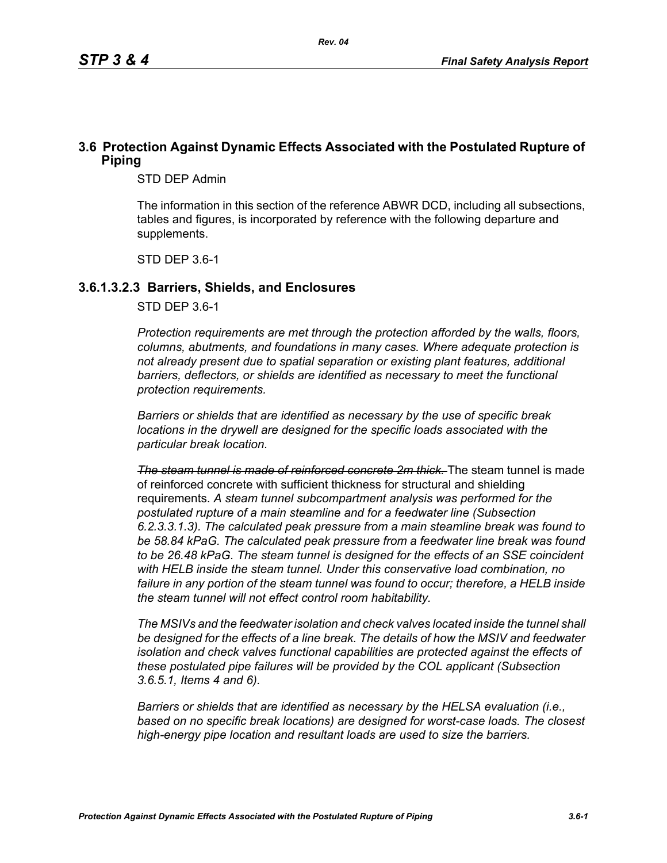## **3.6 Protection Against Dynamic Effects Associated with the Postulated Rupture of Piping**

STD DEP Admin

The information in this section of the reference ABWR DCD, including all subsections, tables and figures, is incorporated by reference with the following departure and supplements.

STD DEP 3.6-1

### **3.6.1.3.2.3 Barriers, Shields, and Enclosures**

STD DEP 3.6-1

*Protection requirements are met through the protection afforded by the walls, floors, columns, abutments, and foundations in many cases. Where adequate protection is not already present due to spatial separation or existing plant features, additional barriers, deflectors, or shields are identified as necessary to meet the functional protection requirements.*

*Barriers or shields that are identified as necessary by the use of specific break locations in the drywell are designed for the specific loads associated with the particular break location.*

*The steam tunnel is made of reinforced concrete 2m thick.* The steam tunnel is made of reinforced concrete with sufficient thickness for structural and shielding requirements. *A steam tunnel subcompartment analysis was performed for the postulated rupture of a main steamline and for a feedwater line (Subsection 6.2.3.3.1.3). The calculated peak pressure from a main steamline break was found to be 58.84 kPaG. The calculated peak pressure from a feedwater line break was found to be 26.48 kPaG. The steam tunnel is designed for the effects of an SSE coincident with HELB inside the steam tunnel. Under this conservative load combination, no failure in any portion of the steam tunnel was found to occur; therefore, a HELB inside the steam tunnel will not effect control room habitability.*

*The MSIVs and the feedwater isolation and check valves located inside the tunnel shall be designed for the effects of a line break. The details of how the MSIV and feedwater isolation and check valves functional capabilities are protected against the effects of these postulated pipe failures will be provided by the COL applicant (Subsection 3.6.5.1, Items 4 and 6).*

*Barriers or shields that are identified as necessary by the HELSA evaluation (i.e., based on no specific break locations) are designed for worst-case loads. The closest high-energy pipe location and resultant loads are used to size the barriers.*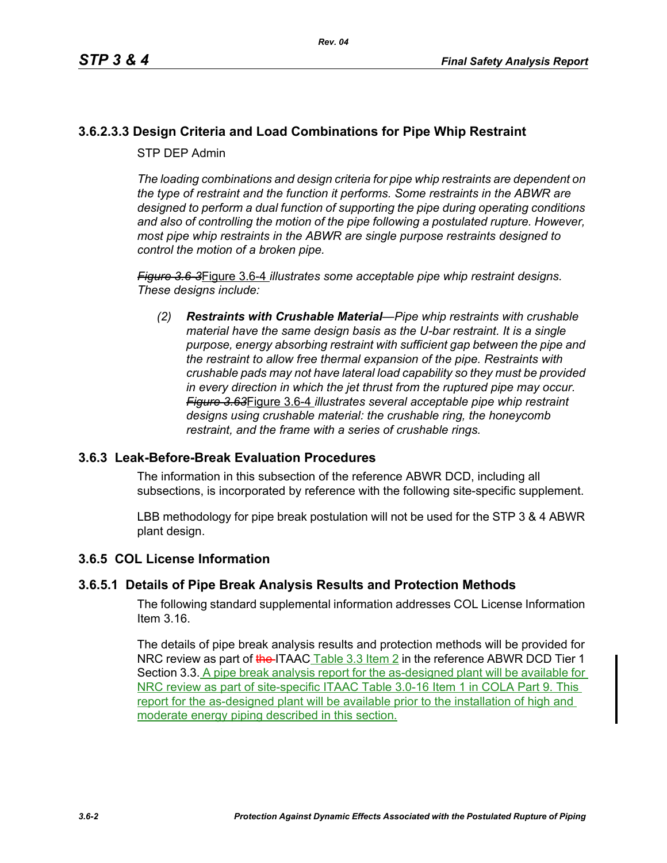# **3.6.2.3.3 Design Criteria and Load Combinations for Pipe Whip Restraint**

STP DEP Admin

*The loading combinations and design criteria for pipe whip restraints are dependent on the type of restraint and the function it performs. Some restraints in the ABWR are designed to perform a dual function of supporting the pipe during operating conditions and also of controlling the motion of the pipe following a postulated rupture. However, most pipe whip restraints in the ABWR are single purpose restraints designed to control the motion of a broken pipe.*

*Figure 3.6-3*Figure 3.6-4 *illustrates some acceptable pipe whip restraint designs. These designs include:*

*(2) Restraints with Crushable Material—Pipe whip restraints with crushable material have the same design basis as the U-bar restraint. It is a single purpose, energy absorbing restraint with sufficient gap between the pipe and the restraint to allow free thermal expansion of the pipe. Restraints with crushable pads may not have lateral load capability so they must be provided in every direction in which the jet thrust from the ruptured pipe may occur. Figure 3.63*Figure 3.6-4 *illustrates several acceptable pipe whip restraint designs using crushable material: the crushable ring, the honeycomb restraint, and the frame with a series of crushable rings.*

## **3.6.3 Leak-Before-Break Evaluation Procedures**

The information in this subsection of the reference ABWR DCD, including all subsections, is incorporated by reference with the following site-specific supplement.

LBB methodology for pipe break postulation will not be used for the STP 3 & 4 ABWR plant design.

## **3.6.5 COL License Information**

## **3.6.5.1 Details of Pipe Break Analysis Results and Protection Methods**

The following standard supplemental information addresses COL License Information Item 3.16.

The details of pipe break analysis results and protection methods will be provided for NRC review as part of the ITAAC Table 3.3 Item 2 in the reference ABWR DCD Tier 1 Section 3.3. A pipe break analysis report for the as-designed plant will be available for NRC review as part of site-specific ITAAC Table 3.0-16 Item 1 in COLA Part 9. This report for the as-designed plant will be available prior to the installation of high and moderate energy piping described in this section.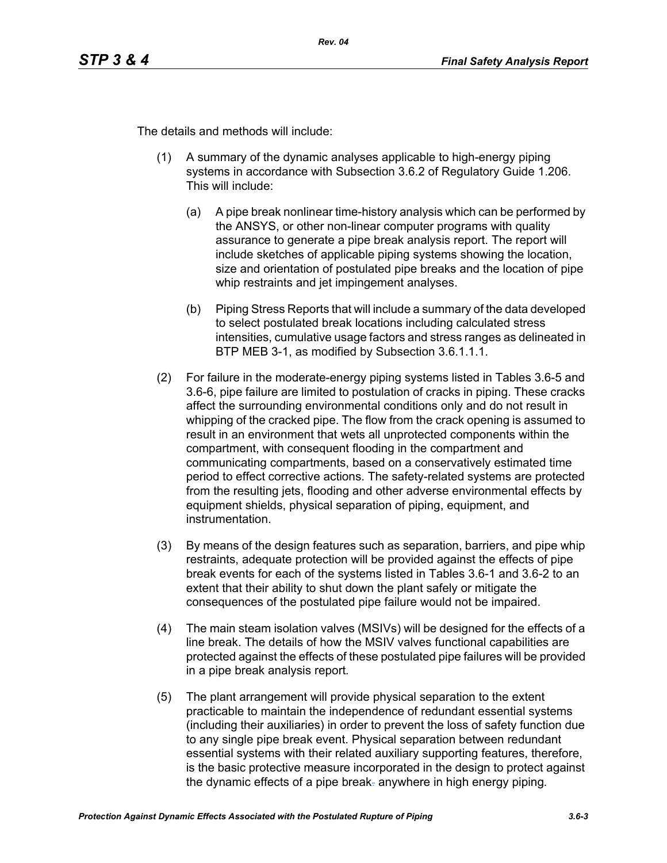The details and methods will include:

- (1) A summary of the dynamic analyses applicable to high-energy piping systems in accordance with Subsection 3.6.2 of Regulatory Guide 1.206. This will include:
	- (a) A pipe break nonlinear time-history analysis which can be performed by the ANSYS, or other non-linear computer programs with quality assurance to generate a pipe break analysis report. The report will include sketches of applicable piping systems showing the location, size and orientation of postulated pipe breaks and the location of pipe whip restraints and jet impingement analyses.
	- (b) Piping Stress Reports that will include a summary of the data developed to select postulated break locations including calculated stress intensities, cumulative usage factors and stress ranges as delineated in BTP MEB 3-1, as modified by Subsection 3.6.1.1.1.
- (2) For failure in the moderate-energy piping systems listed in Tables 3.6-5 and 3.6-6, pipe failure are limited to postulation of cracks in piping. These cracks affect the surrounding environmental conditions only and do not result in whipping of the cracked pipe. The flow from the crack opening is assumed to result in an environment that wets all unprotected components within the compartment, with consequent flooding in the compartment and communicating compartments, based on a conservatively estimated time period to effect corrective actions. The safety-related systems are protected from the resulting jets, flooding and other adverse environmental effects by equipment shields, physical separation of piping, equipment, and instrumentation.
- (3) By means of the design features such as separation, barriers, and pipe whip restraints, adequate protection will be provided against the effects of pipe break events for each of the systems listed in Tables 3.6-1 and 3.6-2 to an extent that their ability to shut down the plant safely or mitigate the consequences of the postulated pipe failure would not be impaired.
- (4) The main steam isolation valves (MSIVs) will be designed for the effects of a line break. The details of how the MSIV valves functional capabilities are protected against the effects of these postulated pipe failures will be provided in a pipe break analysis report*.*
- (5) The plant arrangement will provide physical separation to the extent practicable to maintain the independence of redundant essential systems (including their auxiliaries) in order to prevent the loss of safety function due to any single pipe break event. Physical separation between redundant essential systems with their related auxiliary supporting features, therefore, is the basic protective measure incorporated in the design to protect against the dynamic effects of a pipe break. anywhere in high energy piping*.*